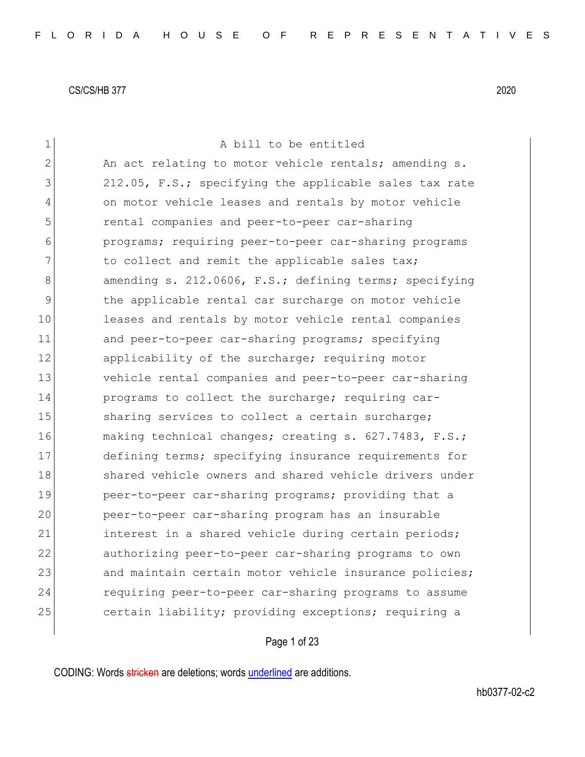| $\mathbf 1$    | A bill to be entitled                                  |
|----------------|--------------------------------------------------------|
| $\overline{2}$ | An act relating to motor vehicle rentals; amending s.  |
| 3              | 212.05, F.S.; specifying the applicable sales tax rate |
| 4              | on motor vehicle leases and rentals by motor vehicle   |
| 5              | rental companies and peer-to-peer car-sharing          |
| 6              | programs; requiring peer-to-peer car-sharing programs  |
| 7              | to collect and remit the applicable sales tax;         |
| 8              | amending s. 212.0606, F.S.; defining terms; specifying |
| 9              | the applicable rental car surcharge on motor vehicle   |
| 10             | leases and rentals by motor vehicle rental companies   |
| 11             | and peer-to-peer car-sharing programs; specifying      |
| 12             | applicability of the surcharge; requiring motor        |
| 13             | vehicle rental companies and peer-to-peer car-sharing  |
| 14             | programs to collect the surcharge; requiring car-      |
| 15             | sharing services to collect a certain surcharge;       |
| 16             | making technical changes; creating s. 627.7483, F.S.;  |
| 17             | defining terms; specifying insurance requirements for  |
| 18             | shared vehicle owners and shared vehicle drivers under |
| 19             | peer-to-peer car-sharing programs; providing that a    |
| 20             | peer-to-peer car-sharing program has an insurable      |
| 21             | interest in a shared vehicle during certain periods;   |
| 22             | authorizing peer-to-peer car-sharing programs to own   |
| 23             | and maintain certain motor vehicle insurance policies; |
| 24             | requiring peer-to-peer car-sharing programs to assume  |
| 25             | certain liability; providing exceptions; requiring a   |
|                |                                                        |

Page 1 of 23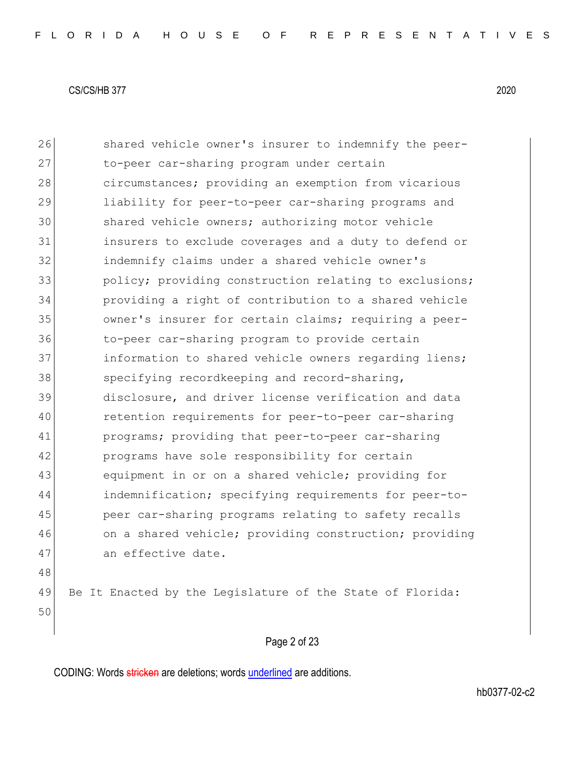26 Shared vehicle owner's insurer to indemnify the peer-27 to-peer car-sharing program under certain 28 circumstances; providing an exemption from vicarious 29 liability for peer-to-peer car-sharing programs and 30 shared vehicle owners; authorizing motor vehicle 31 insurers to exclude coverages and a duty to defend or 32 indemnify claims under a shared vehicle owner's 33 policy; providing construction relating to exclusions; 34 providing a right of contribution to a shared vehicle 35 owner's insurer for certain claims; requiring a peer-36 to-peer car-sharing program to provide certain 37 information to shared vehicle owners regarding liens; 38 specifying recordkeeping and record-sharing, 39 disclosure, and driver license verification and data 40 retention requirements for peer-to-peer car-sharing 41 programs; providing that peer-to-peer car-sharing 42 programs have sole responsibility for certain 43 equipment in or on a shared vehicle; providing for 44 indemnification; specifying requirements for peer-to-45 peer car-sharing programs relating to safety recalls 46 on a shared vehicle; providing construction; providing 47 an effective date. 48 49 Be It Enacted by the Legislature of the State of Florida: 50

# Page 2 of 23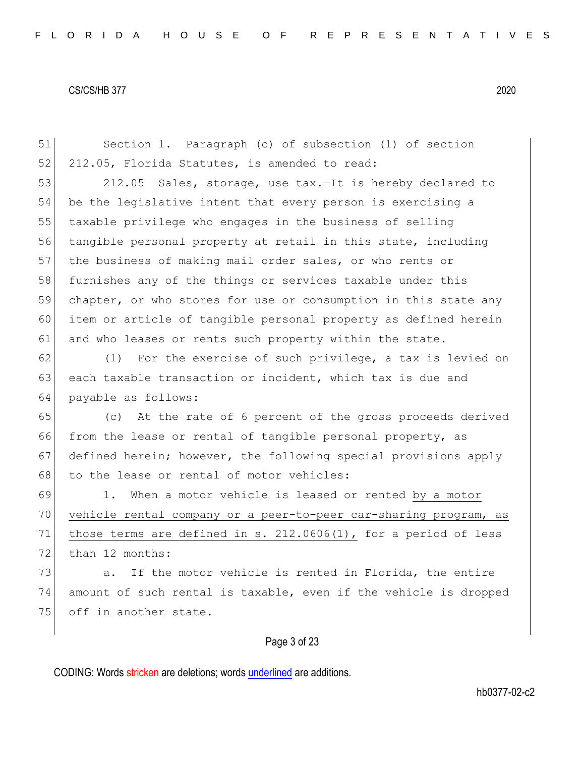51 Section 1. Paragraph (c) of subsection (1) of section 52 212.05, Florida Statutes, is amended to read:

53 212.05 Sales, storage, use tax.—It is hereby declared to 54 be the legislative intent that every person is exercising a 55 taxable privilege who engages in the business of selling 56 tangible personal property at retail in this state, including 57 the business of making mail order sales, or who rents or 58 furnishes any of the things or services taxable under this 59 chapter, or who stores for use or consumption in this state any 60 item or article of tangible personal property as defined herein 61 and who leases or rents such property within the state.

62 (1) For the exercise of such privilege, a tax is levied on 63 each taxable transaction or incident, which tax is due and 64 payable as follows:

65 (c) At the rate of 6 percent of the gross proceeds derived 66 from the lease or rental of tangible personal property, as 67 defined herein; however, the following special provisions apply 68 to the lease or rental of motor vehicles:

69 1. When a motor vehicle is leased or rented by a motor 70 vehicle rental company or a peer-to-peer car-sharing program, as 71 those terms are defined in s. 212.0606(1), for a period of less 72 than 12 months:

 $73$  a. If the motor vehicle is rented in Florida, the entire 74 amount of such rental is taxable, even if the vehicle is dropped 75 off in another state.

## Page 3 of 23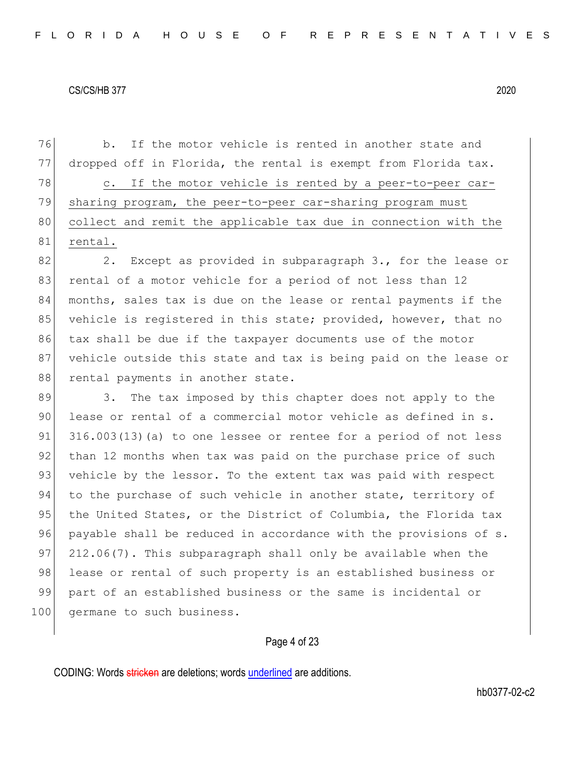76 b. If the motor vehicle is rented in another state and 77 dropped off in Florida, the rental is exempt from Florida tax. 78 c. If the motor vehicle is rented by a peer-to-peer car-79 sharing program, the peer-to-peer car-sharing program must 80 collect and remit the applicable tax due in connection with the 81 rental.

82 2. Except as provided in subparagraph 3., for the lease or 83 rental of a motor vehicle for a period of not less than 12 84 months, sales tax is due on the lease or rental payments if the 85 vehicle is registered in this state; provided, however, that no 86 tax shall be due if the taxpayer documents use of the motor 87 vehicle outside this state and tax is being paid on the lease or 88 rental payments in another state.

89 3. The tax imposed by this chapter does not apply to the 90 lease or rental of a commercial motor vehicle as defined in s.  $91$  316.003(13)(a) to one lessee or rentee for a period of not less 92 than 12 months when tax was paid on the purchase price of such 93 vehicle by the lessor. To the extent tax was paid with respect 94 to the purchase of such vehicle in another state, territory of 95 the United States, or the District of Columbia, the Florida tax 96 payable shall be reduced in accordance with the provisions of s. 97 212.06(7). This subparagraph shall only be available when the 98 lease or rental of such property is an established business or 99 part of an established business or the same is incidental or 100 germane to such business.

## Page 4 of 23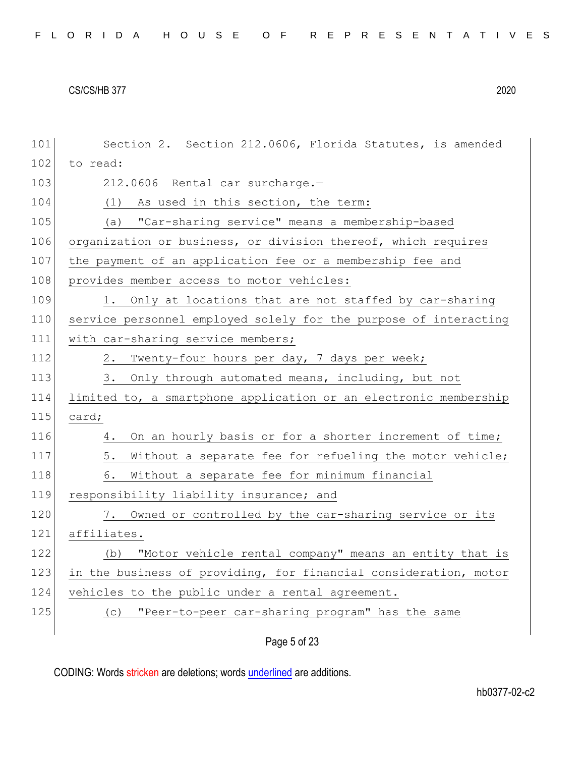| 101 | Section 2. Section 212.0606, Florida Statutes, is amended        |
|-----|------------------------------------------------------------------|
| 102 | to read:                                                         |
| 103 | 212.0606 Rental car surcharge.-                                  |
| 104 | (1)<br>As used in this section, the term:                        |
| 105 | "Car-sharing service" means a membership-based<br>(a)            |
| 106 | organization or business, or division thereof, which requires    |
| 107 | the payment of an application fee or a membership fee and        |
| 108 | provides member access to motor vehicles:                        |
| 109 | 1. Only at locations that are not staffed by car-sharing         |
| 110 | service personnel employed solely for the purpose of interacting |
| 111 | with car-sharing service members;                                |
| 112 | 2. Twenty-four hours per day, 7 days per week;                   |
| 113 | 3. Only through automated means, including, but not              |
| 114 | limited to, a smartphone application or an electronic membership |
| 115 | card;                                                            |
| 116 | On an hourly basis or for a shorter increment of time;<br>4.     |
| 117 | 5.<br>Without a separate fee for refueling the motor vehicle;    |
| 118 | 6.<br>Without a separate fee for minimum financial               |
| 119 | responsibility liability insurance; and                          |
| 120 | Owned or controlled by the car-sharing service or its<br>7.      |
| 121 | affiliates.                                                      |
| 122 | (b) "Motor vehicle rental company" means an entity that is       |
| 123 | in the business of providing, for financial consideration, motor |
| 124 | vehicles to the public under a rental agreement.                 |
| 125 | "Peer-to-peer car-sharing program" has the same<br>(C)           |
|     |                                                                  |

Page 5 of 23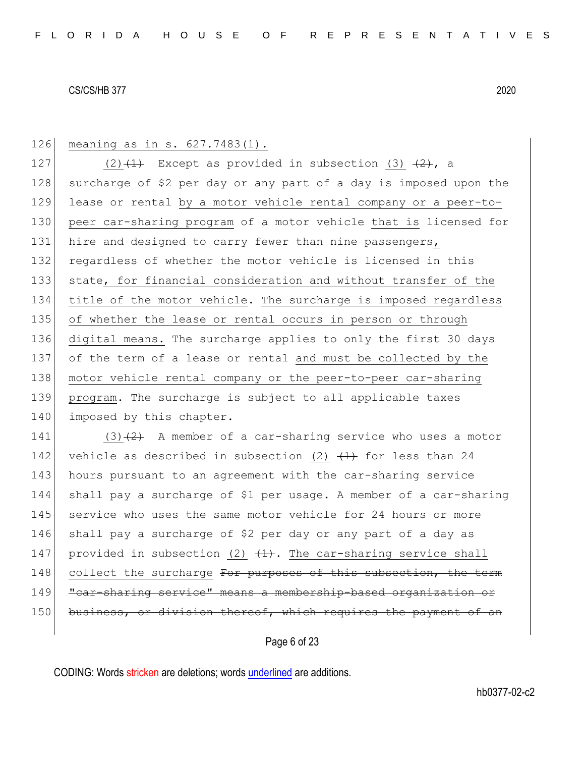126 meaning as in s. 627.7483(1).

127 (2)  $(1)$  Except as provided in subsection (3)  $(2)$ , a 128 surcharge of \$2 per day or any part of a day is imposed upon the 129 lease or rental by a motor vehicle rental company or a peer-to-130 peer car-sharing program of a motor vehicle that is licensed for 131 hire and designed to carry fewer than nine passengers, 132 regardless of whether the motor vehicle is licensed in this 133 state, for financial consideration and without transfer of the 134 title of the motor vehicle. The surcharge is imposed regardless 135 of whether the lease or rental occurs in person or through 136 digital means. The surcharge applies to only the first 30 days 137 of the term of a lease or rental and must be collected by the 138 motor vehicle rental company or the peer-to-peer car-sharing 139 program. The surcharge is subject to all applicable taxes 140 imposed by this chapter.

141 (3) $(2)$  A member of a car-sharing service who uses a motor 142 vehicle as described in subsection (2)  $(1)$  for less than 24 143 hours pursuant to an agreement with the car-sharing service 144 shall pay a surcharge of \$1 per usage. A member of a car-sharing 145 service who uses the same motor vehicle for 24 hours or more 146 shall pay a surcharge of \$2 per day or any part of a day as 147 provided in subsection (2)  $(1)$ . The car-sharing service shall 148 collect the surcharge For purposes of this subsection, the term 149 "car-sharing service" means a membership-based organization or 150 business, or division thereof, which requires the payment of an

Page 6 of 23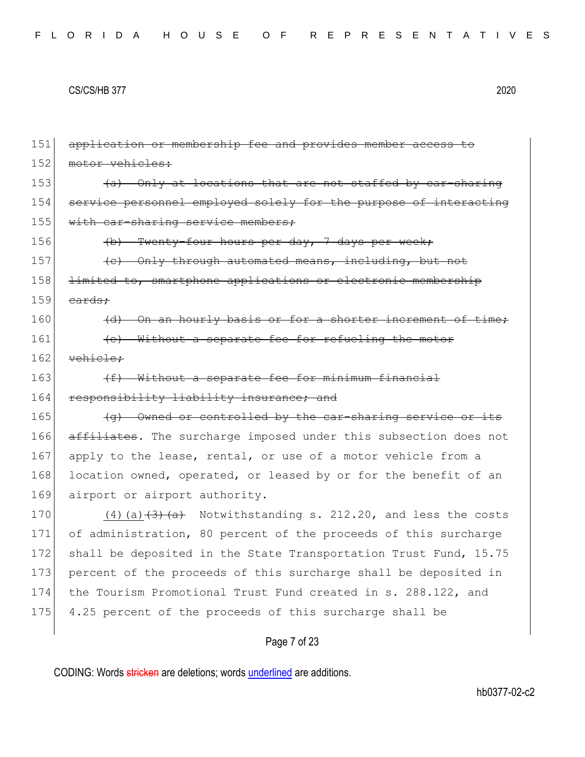151 application or membership fee and provides member access to 152 motor vehicles: 153  $\left( a \right)$  Only at locations that are not staffed by car-sharing 154 service personnel employed solely for the purpose of interacting 155 with car-sharing service members; 156 (b) Twenty-four hours per day, 7 days per week;  $|157|$  (c) Only through automated means, including, but not 158 <del>limited to, smartphone applications or electronic membership</del>  $159$  cards;  $160$  (d) On an hourly basis or for a shorter increment of time; 161 **(e)** Without a separate fee for refueling the motor 162 vehicle; 163  $(f)$  Without a separate fee for minimum financial 164 responsibility liability insurance; and 165  $\left($   $\left($ q) Owned or controlled by the car-sharing service or its 166 affiliates. The surcharge imposed under this subsection does not 167 apply to the lease, rental, or use of a motor vehicle from a 168 location owned, operated, or leased by or for the benefit of an 169 airport or airport authority. 170  $(4)$  (a)  $\left(\frac{3}{4}\right)$  (a)  $\left(\frac{4}{4}\right)$  Notwithstanding s. 212.20, and less the costs 171 of administration, 80 percent of the proceeds of this surcharge 172 shall be deposited in the State Transportation Trust Fund, 15.75 173 percent of the proceeds of this surcharge shall be deposited in 174 the Tourism Promotional Trust Fund created in s. 288.122, and 175 4.25 percent of the proceeds of this surcharge shall be

## Page 7 of 23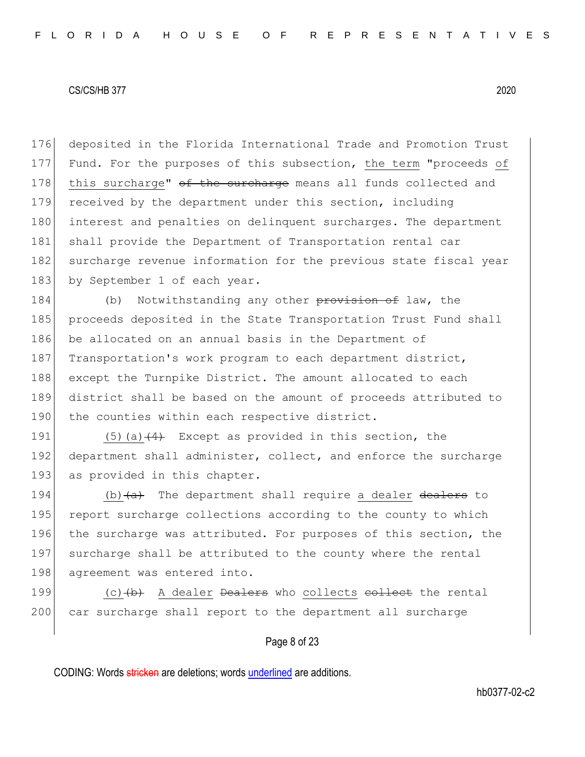176 deposited in the Florida International Trade and Promotion Trust 177 Fund. For the purposes of this subsection, the term "proceeds of 178 this surcharge"  $\theta$  the surcharge means all funds collected and 179 received by the department under this section, including 180 interest and penalties on delinquent surcharges. The department 181 shall provide the Department of Transportation rental car 182 surcharge revenue information for the previous state fiscal year 183 by September 1 of each year.

184 (b) Notwithstanding any other provision of law, the 185 proceeds deposited in the State Transportation Trust Fund shall 186 be allocated on an annual basis in the Department of 187 Transportation's work program to each department district, 188 except the Turnpike District. The amount allocated to each 189 district shall be based on the amount of proceeds attributed to 190 the counties within each respective district.

191  $(5)(a)$   $(4)$  Except as provided in this section, the 192 department shall administer, collect, and enforce the surcharge 193 as provided in this chapter.

194  $\vert$  (b)  $\langle a \rangle$  The department shall require a dealer dealers to 195 report surcharge collections according to the county to which 196 the surcharge was attributed. For purposes of this section, the 197 surcharge shall be attributed to the county where the rental 198 agreement was entered into.

199  $(c)$   $(b)$  A dealer <del>Dealers</del> who collects <del>collect</del> the rental 200 car surcharge shall report to the department all surcharge

## Page 8 of 23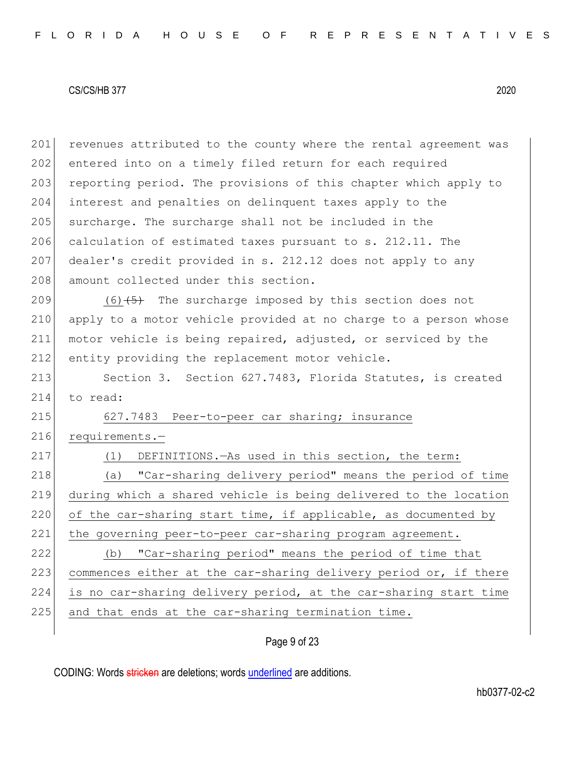201 revenues attributed to the county where the rental agreement was 202 entered into on a timely filed return for each required 203 reporting period. The provisions of this chapter which apply to 204 interest and penalties on delinquent taxes apply to the 205 surcharge. The surcharge shall not be included in the 206 calculation of estimated taxes pursuant to s. 212.11. The 207 dealer's credit provided in s. 212.12 does not apply to any 208 amount collected under this section. 209  $(6)$   $\leftarrow$  The surcharge imposed by this section does not 210 apply to a motor vehicle provided at no charge to a person whose 211 motor vehicle is being repaired, adjusted, or serviced by the 212 entity providing the replacement motor vehicle. 213 Section 3. Section 627.7483, Florida Statutes, is created 214 to read: 215 627.7483 Peer-to-peer car sharing; insurance 216 requirements.-217 (1) DEFINITIONS.—As used in this section, the term: 218 (a) "Car-sharing delivery period" means the period of time 219 during which a shared vehicle is being delivered to the location 220 of the car-sharing start time, if applicable, as documented by 221 the governing peer-to-peer car-sharing program agreement. 222 (b) "Car-sharing period" means the period of time that 223 commences either at the car-sharing delivery period or, if there 224 is no car-sharing delivery period, at the car-sharing start time 225 and that ends at the car-sharing termination time.

Page 9 of 23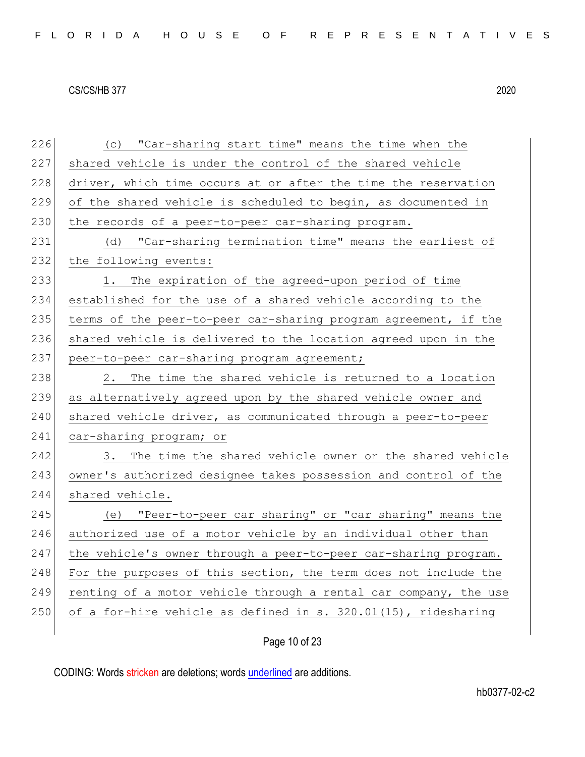| 226 | (c) "Car-sharing start time" means the time when the             |
|-----|------------------------------------------------------------------|
| 227 | shared vehicle is under the control of the shared vehicle        |
| 228 | driver, which time occurs at or after the time the reservation   |
| 229 | of the shared vehicle is scheduled to begin, as documented in    |
| 230 | the records of a peer-to-peer car-sharing program.               |
| 231 | (d) "Car-sharing termination time" means the earliest of         |
| 232 | the following events:                                            |
| 233 | The expiration of the agreed-upon period of time<br>1.           |
| 234 | established for the use of a shared vehicle according to the     |
| 235 | terms of the peer-to-peer car-sharing program agreement, if the  |
| 236 | shared vehicle is delivered to the location agreed upon in the   |
| 237 | peer-to-peer car-sharing program agreement;                      |
| 238 | 2. The time the shared vehicle is returned to a location         |
| 239 | as alternatively agreed upon by the shared vehicle owner and     |
| 240 | shared vehicle driver, as communicated through a peer-to-peer    |
| 241 | car-sharing program; or                                          |
| 242 | The time the shared vehicle owner or the shared vehicle<br>3.    |
| 243 | owner's authorized designee takes possession and control of the  |
| 244 | shared vehicle.                                                  |
| 245 | (e) "Peer-to-peer car sharing" or "car sharing" means the        |
| 246 | authorized use of a motor vehicle by an individual other than    |
| 247 | the vehicle's owner through a peer-to-peer car-sharing program.  |
| 248 | For the purposes of this section, the term does not include the  |
| 249 | renting of a motor vehicle through a rental car company, the use |
| 250 | of a for-hire vehicle as defined in s. 320.01(15), ridesharing   |
|     |                                                                  |

# Page 10 of 23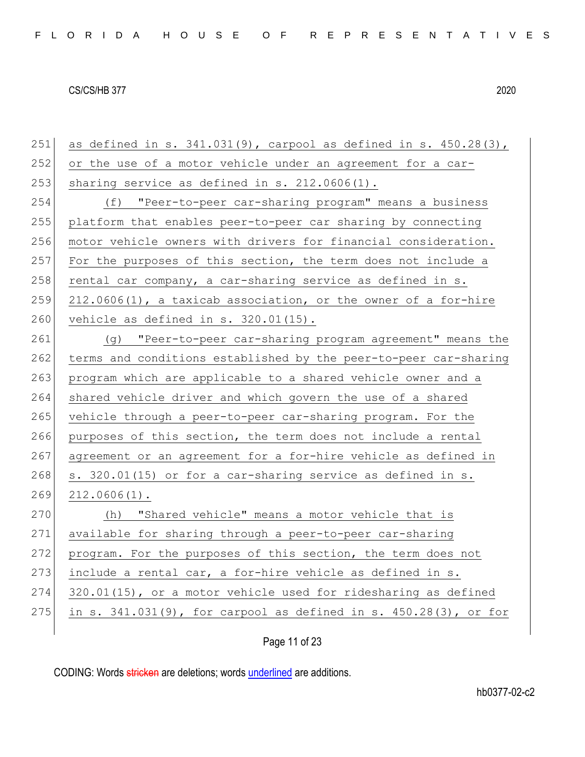| 251 | as defined in s. $341.031(9)$ , carpool as defined in s. $450.28(3)$ , |
|-----|------------------------------------------------------------------------|
| 252 | or the use of a motor vehicle under an agreement for a car-            |
| 253 | sharing service as defined in s. 212.0606(1).                          |
| 254 | (f) "Peer-to-peer car-sharing program" means a business                |
| 255 | platform that enables peer-to-peer car sharing by connecting           |
| 256 | motor vehicle owners with drivers for financial consideration.         |
| 257 | For the purposes of this section, the term does not include a          |
| 258 | rental car company, a car-sharing service as defined in s.             |
| 259 | 212.0606(1), a taxicab association, or the owner of a for-hire         |
| 260 | vehicle as defined in $s. 320.01(15)$ .                                |
| 261 | (g) "Peer-to-peer car-sharing program agreement" means the             |
| 262 | terms and conditions established by the peer-to-peer car-sharing       |
| 263 | program which are applicable to a shared vehicle owner and a           |
| 264 | shared vehicle driver and which govern the use of a shared             |
| 265 | vehicle through a peer-to-peer car-sharing program. For the            |
| 266 | purposes of this section, the term does not include a rental           |
| 267 | agreement or an agreement for a for-hire vehicle as defined in         |
| 268 | s. 320.01(15) or for a car-sharing service as defined in s.            |
| 269 | $212.0606(1)$ .                                                        |
| 270 | "Shared vehicle" means a motor vehicle that is<br>(h)                  |
| 271 | available for sharing through a peer-to-peer car-sharing               |
| 272 | program. For the purposes of this section, the term does not           |
| 273 | include a rental car, a for-hire vehicle as defined in s.              |
| 274 | 320.01(15), or a motor vehicle used for ridesharing as defined         |
| 275 | in s. 341.031(9), for carpool as defined in s. 450.28(3), or for       |
|     |                                                                        |

Page 11 of 23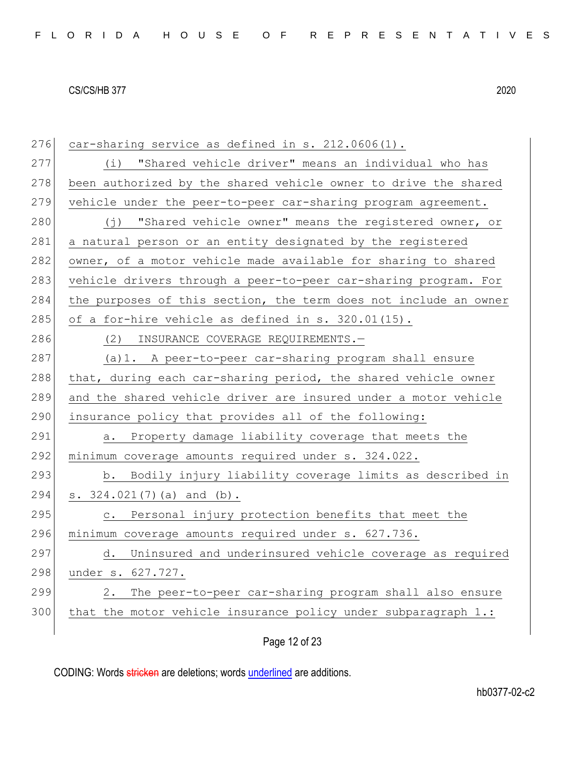| 276 | car-sharing service as defined in s. 212.0606(1).                |
|-----|------------------------------------------------------------------|
| 277 | (i) "Shared vehicle driver" means an individual who has          |
| 278 | been authorized by the shared vehicle owner to drive the shared  |
| 279 | vehicle under the peer-to-peer car-sharing program agreement.    |
| 280 | (j) "Shared vehicle owner" means the registered owner, or        |
| 281 | a natural person or an entity designated by the registered       |
| 282 | owner, of a motor vehicle made available for sharing to shared   |
| 283 | vehicle drivers through a peer-to-peer car-sharing program. For  |
| 284 | the purposes of this section, the term does not include an owner |
| 285 | of a for-hire vehicle as defined in s. 320.01(15).               |
| 286 | (2) INSURANCE COVERAGE REQUIREMENTS.-                            |
| 287 | (a) 1. A peer-to-peer car-sharing program shall ensure           |
| 288 | that, during each car-sharing period, the shared vehicle owner   |
| 289 | and the shared vehicle driver are insured under a motor vehicle  |
| 290 | insurance policy that provides all of the following:             |
| 291 | a. Property damage liability coverage that meets the             |
| 292 | minimum coverage amounts required under s. 324.022.              |
| 293 | b. Bodily injury liability coverage limits as described in       |
| 294 | s. $324.021(7)$ (a) and (b).                                     |
| 295 | Personal injury protection benefits that meet the<br>$\circ$ .   |
| 296 | minimum coverage amounts required under s. 627.736.              |
| 297 | Uninsured and underinsured vehicle coverage as required<br>d.    |
|     |                                                                  |
| 298 | under s. 627.727.                                                |
| 299 | The peer-to-peer car-sharing program shall also ensure<br>2.     |
| 300 | that the motor vehicle insurance policy under subparagraph 1.:   |

Page 12 of 23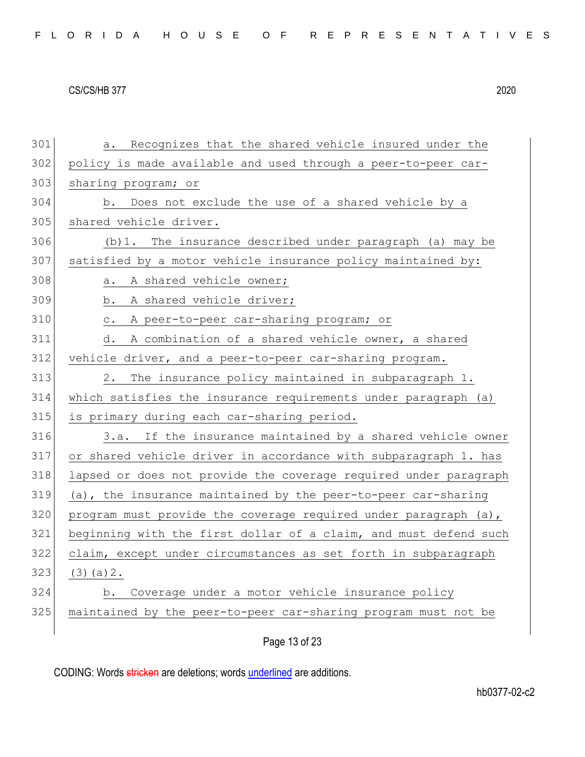| 301 | Recognizes that the shared vehicle insured under the<br>a.       |
|-----|------------------------------------------------------------------|
| 302 | policy is made available and used through a peer-to-peer car-    |
| 303 | sharing program; or                                              |
| 304 | Does not exclude the use of a shared vehicle by a<br>b.          |
| 305 | shared vehicle driver.                                           |
| 306 | (b) 1. The insurance described under paragraph (a) may be        |
| 307 | satisfied by a motor vehicle insurance policy maintained by:     |
| 308 | A shared vehicle owner;<br>а.                                    |
| 309 | A shared vehicle driver;<br>b.                                   |
| 310 | A peer-to-peer car-sharing program; or<br>$\mathtt{C}$ .         |
| 311 | A combination of a shared vehicle owner, a shared<br>d.          |
| 312 | vehicle driver, and a peer-to-peer car-sharing program.          |
| 313 | 2.<br>The insurance policy maintained in subparagraph 1.         |
| 314 | which satisfies the insurance requirements under paragraph (a)   |
| 315 | is primary during each car-sharing period.                       |
| 316 | 3.a. If the insurance maintained by a shared vehicle owner       |
| 317 | or shared vehicle driver in accordance with subparagraph 1. has  |
| 318 | lapsed or does not provide the coverage required under paragraph |
| 319 | (a), the insurance maintained by the peer-to-peer car-sharing    |
| 320 | program must provide the coverage required under paragraph (a),  |
| 321 | beginning with the first dollar of a claim, and must defend such |
| 322 | claim, except under circumstances as set forth in subparagraph   |
| 323 | $(3)$ (a) 2.                                                     |
| 324 | Coverage under a motor vehicle insurance policy<br>b.            |
| 325 | maintained by the peer-to-peer car-sharing program must not be   |
|     | Page 13 of 23                                                    |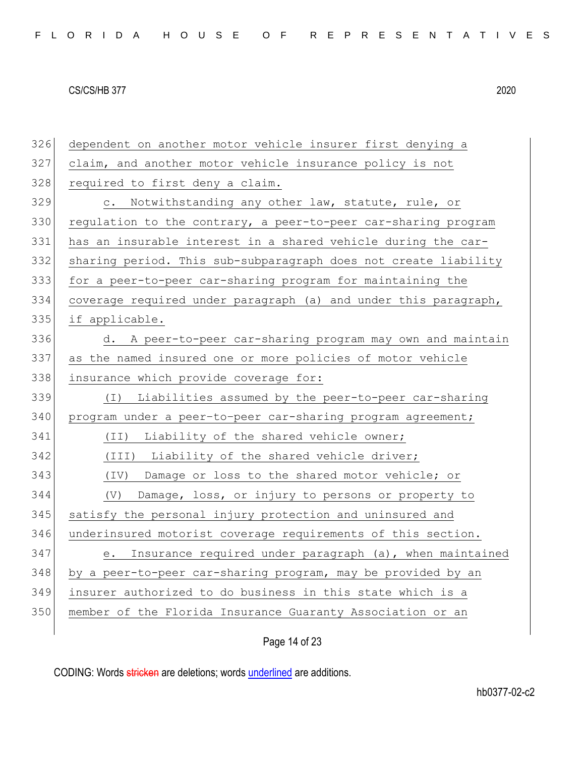| 326 | dependent on another motor vehicle insurer first denying a        |
|-----|-------------------------------------------------------------------|
| 327 | claim, and another motor vehicle insurance policy is not          |
| 328 | required to first deny a claim.                                   |
| 329 | Notwithstanding any other law, statute, rule, or<br>$\mathbb C$ . |
| 330 | regulation to the contrary, a peer-to-peer car-sharing program    |
| 331 | has an insurable interest in a shared vehicle during the car-     |
| 332 | sharing period. This sub-subparagraph does not create liability   |
| 333 | for a peer-to-peer car-sharing program for maintaining the        |
| 334 | coverage required under paragraph (a) and under this paragraph,   |
| 335 | if applicable.                                                    |
| 336 | A peer-to-peer car-sharing program may own and maintain<br>d.     |
| 337 | as the named insured one or more policies of motor vehicle        |
| 338 | insurance which provide coverage for:                             |
| 339 | Liabilities assumed by the peer-to-peer car-sharing<br>( I )      |
| 340 | program under a peer-to-peer car-sharing program agreement;       |
| 341 | Liability of the shared vehicle owner;<br>(II)                    |
| 342 | (III) Liability of the shared vehicle driver;                     |
| 343 | (IV) Damage or loss to the shared motor vehicle; or               |
| 344 | Damage, loss, or injury to persons or property to<br>(V)          |
| 345 | satisfy the personal injury protection and uninsured and          |
| 346 | underinsured motorist coverage requirements of this section.      |
| 347 | Insurance required under paragraph (a), when maintained<br>е.     |
| 348 | by a peer-to-peer car-sharing program, may be provided by an      |
| 349 | insurer authorized to do business in this state which is a        |
| 350 | member of the Florida Insurance Guaranty Association or an        |
|     |                                                                   |

Page 14 of 23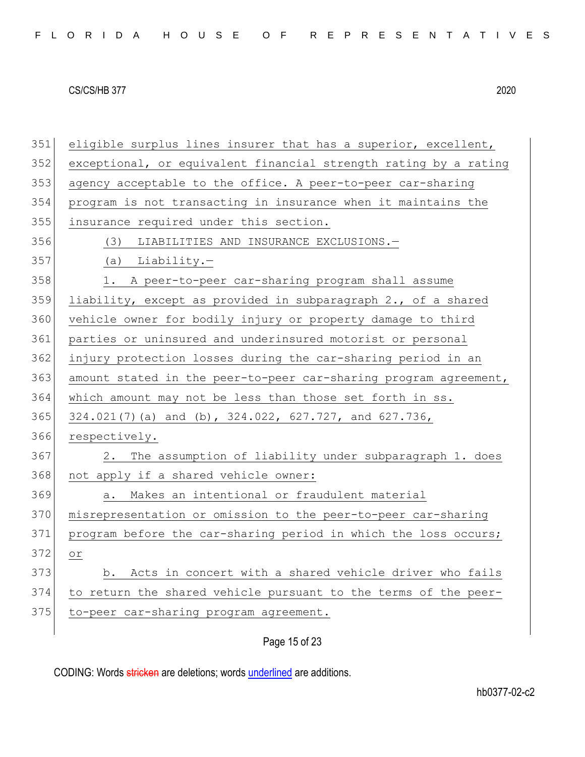|  |  |  | FLORIDA HOUSE OF REPRESENTATIVES |  |  |  |  |  |  |  |  |  |  |  |  |  |
|--|--|--|----------------------------------|--|--|--|--|--|--|--|--|--|--|--|--|--|
|  |  |  |                                  |  |  |  |  |  |  |  |  |  |  |  |  |  |

351 eligible surplus lines insurer that has a superior, excellent, 352 exceptional, or equivalent financial strength rating by a rating 353 agency acceptable to the office. A peer-to-peer car-sharing 354 program is not transacting in insurance when it maintains the 355 insurance required under this section. 356 (3) LIABILITIES AND INSURANCE EXCLUSIONS.— 357 (a) Liability.— 358 1. A peer-to-peer car-sharing program shall assume 359 liability, except as provided in subparagraph 2., of a shared 360 vehicle owner for bodily injury or property damage to third 361 parties or uninsured and underinsured motorist or personal 362 injury protection losses during the car-sharing period in an 363 amount stated in the peer-to-peer car-sharing program agreement, 364 which amount may not be less than those set forth in ss. 365 324.021(7)(a) and (b), 324.022, 627.727, and 627.736, 366 respectively. 367 2. The assumption of liability under subparagraph 1. does 368 not apply if a shared vehicle owner: 369 a. Makes an intentional or fraudulent material 370 misrepresentation or omission to the peer-to-peer car-sharing 371 program before the car-sharing period in which the loss occurs; 372 or 373 b. Acts in concert with a shared vehicle driver who fails 374 to return the shared vehicle pursuant to the terms of the peer-375 to-peer car-sharing program agreement.

# Page 15 of 23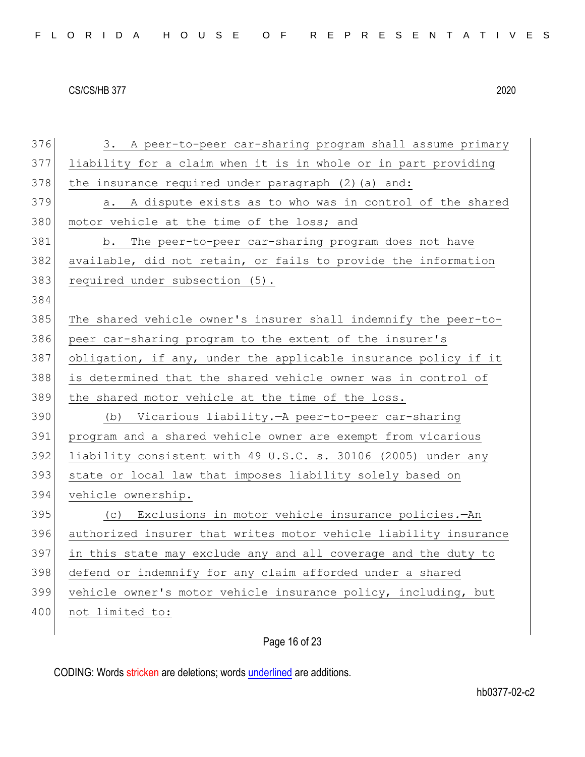| FLORIDA HOUSE OF REPRESENTATIVES |  |  |  |  |  |  |  |  |  |  |  |  |  |  |  |  |  |  |  |  |  |  |  |  |  |  |  |  |  |  |  |
|----------------------------------|--|--|--|--|--|--|--|--|--|--|--|--|--|--|--|--|--|--|--|--|--|--|--|--|--|--|--|--|--|--|--|
|----------------------------------|--|--|--|--|--|--|--|--|--|--|--|--|--|--|--|--|--|--|--|--|--|--|--|--|--|--|--|--|--|--|--|

376 3. A peer-to-peer car-sharing program shall assume primary 377 liability for a claim when it is in whole or in part providing 378 the insurance required under paragraph  $(2)$  (a) and: 379 a. A dispute exists as to who was in control of the shared 380 motor vehicle at the time of the loss; and 381 b. The peer-to-peer car-sharing program does not have 382 available, did not retain, or fails to provide the information 383 required under subsection (5). 384 385 The shared vehicle owner's insurer shall indemnify the peer-to-386 peer car-sharing program to the extent of the insurer's 387 obligation, if any, under the applicable insurance policy if it 388 is determined that the shared vehicle owner was in control of 389 the shared motor vehicle at the time of the loss. 390 (b) Vicarious liability*.*—A peer-to-peer car-sharing 391 program and a shared vehicle owner are exempt from vicarious 392 liability consistent with 49 U.S.C. s. 30106 (2005) under any 393 state or local law that imposes liability solely based on 394 vehicle ownership. 395 (c) Exclusions in motor vehicle insurance policies*.*—An 396 authorized insurer that writes motor vehicle liability insurance 397 in this state may exclude any and all coverage and the duty to 398 defend or indemnify for any claim afforded under a shared 399 vehicle owner's motor vehicle insurance policy, including, but 400 not limited to:

# Page 16 of 23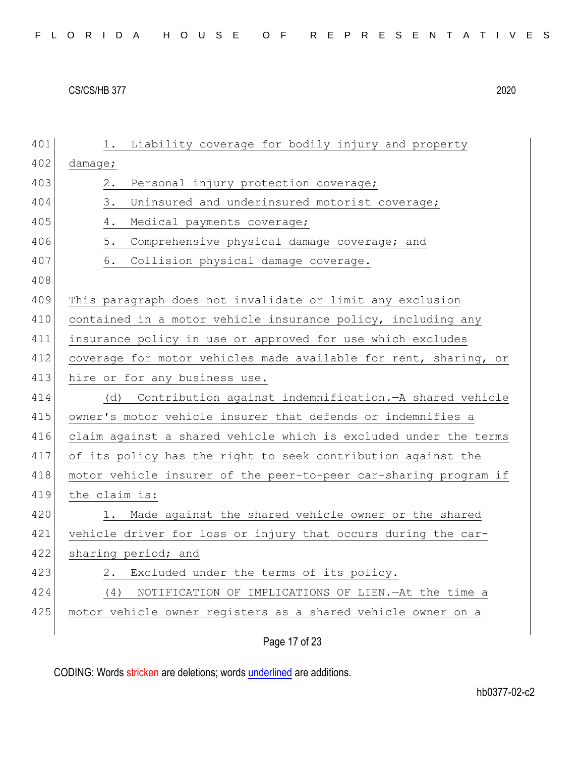|  |  |  | FLORIDA HOUSE OF REPRESENTATIVES |  |  |  |  |  |  |  |  |  |  |  |  |  |
|--|--|--|----------------------------------|--|--|--|--|--|--|--|--|--|--|--|--|--|
|  |  |  |                                  |  |  |  |  |  |  |  |  |  |  |  |  |  |

| 401 | Liability coverage for bodily injury and property<br>1.          |
|-----|------------------------------------------------------------------|
| 402 | damage;                                                          |
| 403 | Personal injury protection coverage;<br>2.                       |
| 404 | 3.<br>Uninsured and underinsured motorist coverage;              |
| 405 | 4.<br>Medical payments coverage;                                 |
| 406 | 5.<br>Comprehensive physical damage coverage; and                |
| 407 | 6.<br>Collision physical damage coverage.                        |
| 408 |                                                                  |
| 409 | This paragraph does not invalidate or limit any exclusion        |
| 410 | contained in a motor vehicle insurance policy, including any     |
| 411 | insurance policy in use or approved for use which excludes       |
| 412 | coverage for motor vehicles made available for rent, sharing, or |
| 413 | hire or for any business use.                                    |
| 414 | Contribution against indemnification. - A shared vehicle<br>(d)  |
| 415 | owner's motor vehicle insurer that defends or indemnifies a      |
| 416 | claim against a shared vehicle which is excluded under the terms |
| 417 | of its policy has the right to seek contribution against the     |
| 418 | motor vehicle insurer of the peer-to-peer car-sharing program if |
| 419 | the claim is:                                                    |
| 420 | Made against the shared vehicle owner or the shared<br>1.        |
| 421 | vehicle driver for loss or injury that occurs during the car-    |
|     |                                                                  |
| 422 | sharing period; and                                              |
| 423 | Excluded under the terms of its policy.<br>2.                    |
| 424 | NOTIFICATION OF IMPLICATIONS OF LIEN. - At the time a<br>(4)     |
| 425 | motor vehicle owner registers as a shared vehicle owner on a     |

Page 17 of 23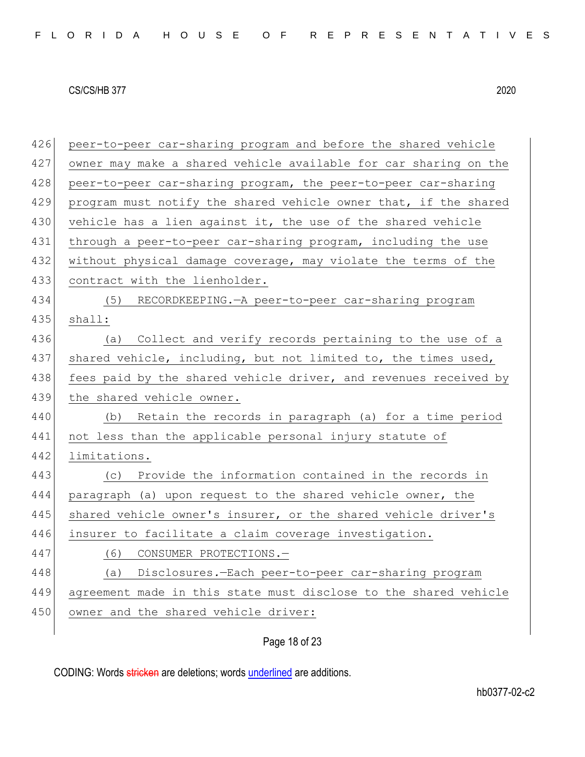426 peer-to-peer car-sharing program and before the shared vehicle 427 owner may make a shared vehicle available for car sharing on the 428 peer-to-peer car-sharing program, the peer-to-peer car-sharing 429 program must notify the shared vehicle owner that, if the shared 430 vehicle has a lien against it, the use of the shared vehicle 431 through a peer-to-peer car-sharing program, including the use 432 without physical damage coverage, may violate the terms of the 433 contract with the lienholder. 434 (5) RECORDKEEPING.—A peer-to-peer car-sharing program 435 shall: 436 (a) Collect and verify records pertaining to the use of a 437 shared vehicle, including, but not limited to, the times used, 438 fees paid by the shared vehicle driver, and revenues received by 439 the shared vehicle owner. 440 (b) Retain the records in paragraph (a) for a time period 441 not less than the applicable personal injury statute of 442 limitations. 443 (c) Provide the information contained in the records in 444 paragraph (a) upon request to the shared vehicle owner, the 445 shared vehicle owner's insurer, or the shared vehicle driver's 446 insurer to facilitate a claim coverage investigation. 447 (6) CONSUMER PROTECTIONS.— 448 (a) Disclosures*.*—Each peer-to-peer car-sharing program 449 agreement made in this state must disclose to the shared vehicle 450 owner and the shared vehicle driver:

# Page 18 of 23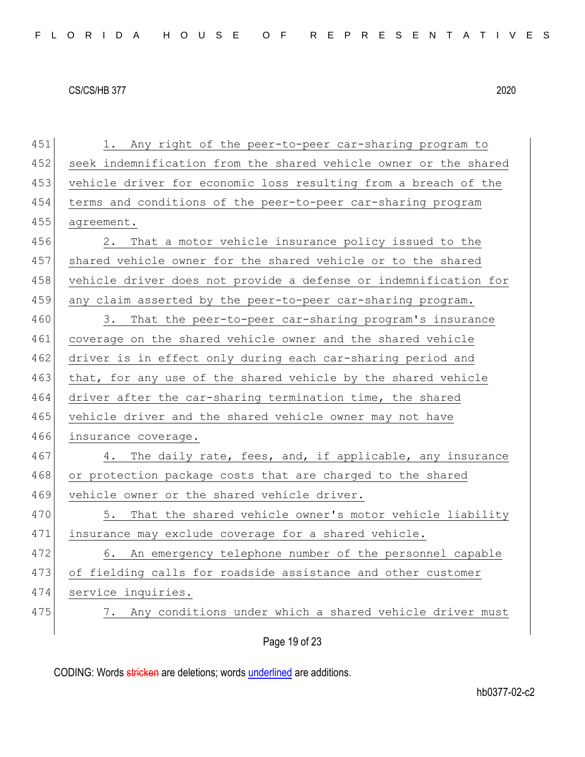451 1. Any right of the peer-to-peer car-sharing program to

452 seek indemnification from the shared vehicle owner or the shared

#### CS/CS/HB 377 2020

453 vehicle driver for economic loss resulting from a breach of the 454 terms and conditions of the peer-to-peer car-sharing program 455 agreement. 456 2. That a motor vehicle insurance policy issued to the 457 shared vehicle owner for the shared vehicle or to the shared 458 vehicle driver does not provide a defense or indemnification for 459 any claim asserted by the peer-to-peer car-sharing program. 460 3. That the peer-to-peer car-sharing program's insurance 461 coverage on the shared vehicle owner and the shared vehicle 462 driver is in effect only during each car-sharing period and 463 that, for any use of the shared vehicle by the shared vehicle 464 driver after the car-sharing termination time, the shared 465 vehicle driver and the shared vehicle owner may not have 466 insurance coverage. 467 4. The daily rate, fees, and, if applicable, any insurance 468 or protection package costs that are charged to the shared 469 vehicle owner or the shared vehicle driver. 470 5. That the shared vehicle owner's motor vehicle liability 471 insurance may exclude coverage for a shared vehicle.

472 6. An emergency telephone number of the personnel capable 473 of fielding calls for roadside assistance and other customer 474 service inquiries.

475 7. Any conditions under which a shared vehicle driver must

Page 19 of 23

CODING: Words stricken are deletions; words underlined are additions.

hb0377-02-c2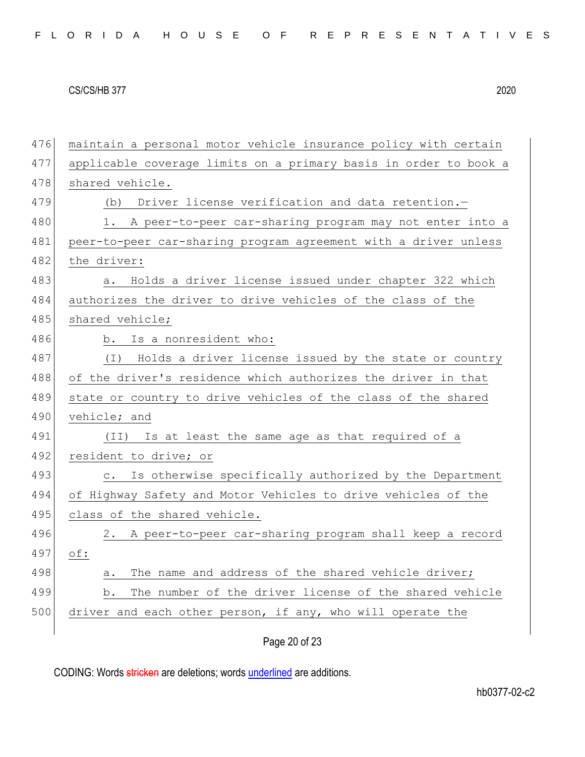|  |  |  | FLORIDA HOUSE OF REPRESENTATIVES |  |  |  |  |  |  |  |  |  |  |  |  |  |
|--|--|--|----------------------------------|--|--|--|--|--|--|--|--|--|--|--|--|--|
|  |  |  |                                  |  |  |  |  |  |  |  |  |  |  |  |  |  |

| 476 | maintain a personal motor vehicle insurance policy with certain     |
|-----|---------------------------------------------------------------------|
| 477 | applicable coverage limits on a primary basis in order to book a    |
| 478 | shared vehicle.                                                     |
| 479 | Driver license verification and data retention.-<br>(b)             |
| 480 | 1. A peer-to-peer car-sharing program may not enter into a          |
| 481 | peer-to-peer car-sharing program agreement with a driver unless     |
| 482 | the driver:                                                         |
| 483 | Holds a driver license issued under chapter 322 which<br>а.         |
| 484 | authorizes the driver to drive vehicles of the class of the         |
| 485 | shared vehicle;                                                     |
| 486 | b. Is a nonresident who:                                            |
| 487 | Holds a driver license issued by the state or country<br>( I )      |
| 488 | of the driver's residence which authorizes the driver in that       |
|     |                                                                     |
| 489 | state or country to drive vehicles of the class of the shared       |
| 490 | vehicle; and                                                        |
| 491 | Is at least the same age as that required of a<br>(II)              |
| 492 | resident to drive; or                                               |
| 493 | Is otherwise specifically authorized by the Department<br>$\circ$ . |
| 494 | of Highway Safety and Motor Vehicles to drive vehicles of the       |
| 495 | class of the shared vehicle.                                        |
| 496 | 2. A peer-to-peer car-sharing program shall keep a record           |
| 497 | $\circ$ f:                                                          |
| 498 | The name and address of the shared vehicle driver;<br>a.            |
| 499 | The number of the driver license of the shared vehicle<br>b.        |
| 500 | driver and each other person, if any, who will operate the          |

# Page 20 of 23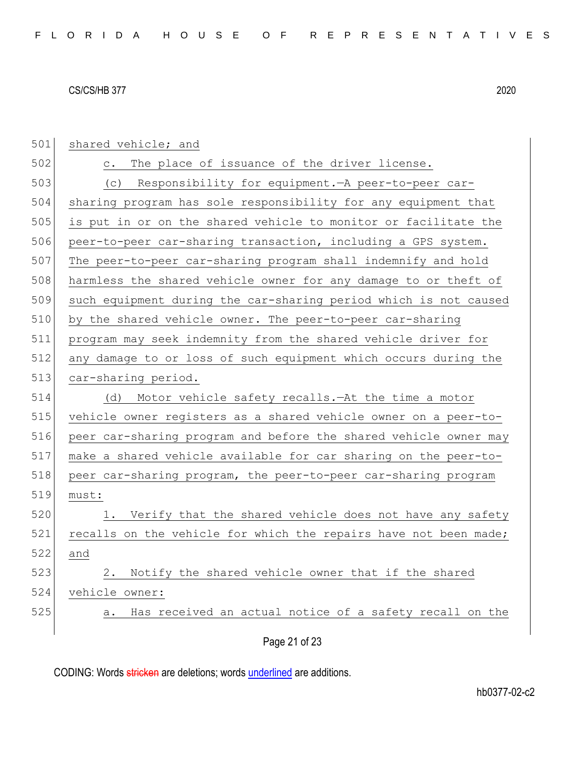| 501 | shared vehicle; and                                              |
|-----|------------------------------------------------------------------|
| 502 | The place of issuance of the driver license.<br>$\circ$ .        |
| 503 | Responsibility for equipment. A peer-to-peer car-<br>(C)         |
| 504 | sharing program has sole responsibility for any equipment that   |
| 505 | is put in or on the shared vehicle to monitor or facilitate the  |
| 506 | peer-to-peer car-sharing transaction, including a GPS system.    |
| 507 | The peer-to-peer car-sharing program shall indemnify and hold    |
| 508 | harmless the shared vehicle owner for any damage to or theft of  |
| 509 | such equipment during the car-sharing period which is not caused |
| 510 | by the shared vehicle owner. The peer-to-peer car-sharing        |
| 511 | program may seek indemnity from the shared vehicle driver for    |
| 512 | any damage to or loss of such equipment which occurs during the  |
| 513 | car-sharing period.                                              |
| 514 | Motor vehicle safety recalls. - At the time a motor<br>(d)       |
| 515 | vehicle owner registers as a shared vehicle owner on a peer-to-  |
| 516 | peer car-sharing program and before the shared vehicle owner may |
| 517 | make a shared vehicle available for car sharing on the peer-to-  |
| 518 | peer car-sharing program, the peer-to-peer car-sharing program   |
| 519 | must:                                                            |
| 520 | Verify that the shared vehicle does not have any safety<br>1.    |
| 521 | recalls on the vehicle for which the repairs have not been made; |
| 522 | and                                                              |
| 523 | Notify the shared vehicle owner that if the shared<br>2.         |
| 524 | vehicle owner:                                                   |
| 525 | Has received an actual notice of a safety recall on the<br>a.    |
|     |                                                                  |
|     | Page 21 of 23                                                    |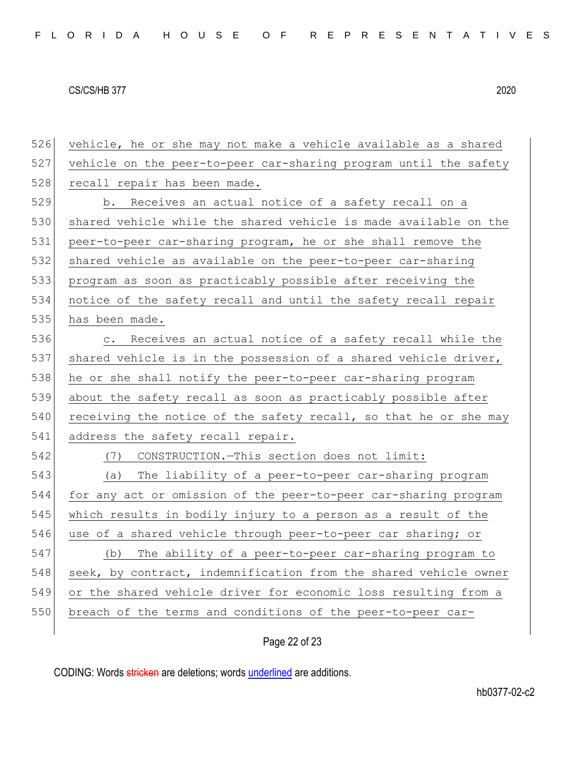vehicle, he or she may not make a vehicle available as a shared vehicle on the peer-to-peer car-sharing program until the safety 528 recall repair has been made. b. Receives an actual notice of a safety recall on a 530 shared vehicle while the shared vehicle is made available on the peer-to-peer car-sharing program, he or she shall remove the shared vehicle as available on the peer-to-peer car-sharing program as soon as practicably possible after receiving the notice of the safety recall and until the safety recall repair has been made. 536 c. Receives an actual notice of a safety recall while the 537 shared vehicle is in the possession of a shared vehicle driver, 538 he or she shall notify the peer-to-peer car-sharing program about the safety recall as soon as practicably possible after receiving the notice of the safety recall, so that he or she may 541 address the safety recall repair. (7) CONSTRUCTION.—This section does not limit: (a) The liability of a peer-to-peer car-sharing program for any act or omission of the peer-to-peer car-sharing program which results in bodily injury to a person as a result of the 546 use of a shared vehicle through peer-to-peer car sharing; or (b) The ability of a peer-to-peer car-sharing program to 548 seek, by contract, indemnification from the shared vehicle owner or the shared vehicle driver for economic loss resulting from a 550 breach of the terms and conditions of the peer-to-peer car-

# Page 22 of 23